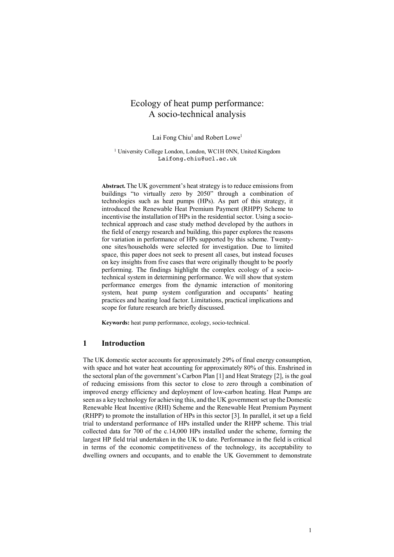# Ecology of heat pump performance: A socio-technical analysis

Lai Fong Chiu<sup>1</sup> and Robert Lowe<sup>1</sup>

<sup>1</sup> University College London, London, WC1H 0NN, United Kingdom Laifong.chiu@ucl.ac.uk

**Abstract.** The UK government's heat strategy is to reduce emissions from buildings "to virtually zero by 2050" through a combination of technologies such as heat pumps (HPs). As part of this strategy, it introduced the Renewable Heat Premium Payment (RHPP) Scheme to incentivise the installation of HPs in the residential sector. Using a sociotechnical approach and case study method developed by the authors in the field of energy research and building, this paper explores the reasons for variation in performance of HPs supported by this scheme. Twentyone sites/households were selected for investigation. Due to limited space, this paper does not seek to present all cases, but instead focuses on key insights from five cases that were originally thought to be poorly performing. The findings highlight the complex ecology of a sociotechnical system in determining performance. We will show that system performance emerges from the dynamic interaction of monitoring system, heat pump system configuration and occupants' heating practices and heating load factor. Limitations, practical implications and scope for future research are briefly discussed.

**Keywords:** heat pump performance, ecology, socio-technical.

#### **1 Introduction**

The UK domestic sector accounts for approximately 29% of final energy consumption, with space and hot water heat accounting for approximately 80% of this. Enshrined in the sectoral plan of the government's Carbon Plan [1] and Heat Strategy [2], is the goal of reducing emissions from this sector to close to zero through a combination of improved energy efficiency and deployment of low-carbon heating. Heat Pumps are seen as a key technology for achieving this, and the UK government set up the Domestic Renewable Heat Incentive (RHI) Scheme and the Renewable Heat Premium Payment (RHPP) to promote the installation of HPs in this sector [3]. In parallel, it set up a field trial to understand performance of HPs installed under the RHPP scheme. This trial collected data for 700 of the c.14,000 HPs installed under the scheme, forming the largest HP field trial undertaken in the UK to date. Performance in the field is critical in terms of the economic competitiveness of the technology, its acceptability to dwelling owners and occupants, and to enable the UK Government to demonstrate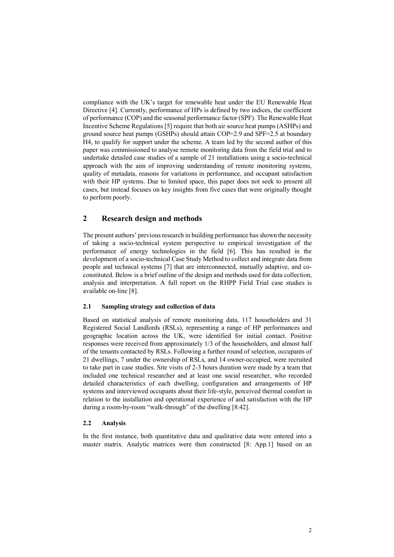compliance with the UK's target for renewable heat under the EU Renewable Heat Directive [4]. Currently, performance of HPs is defined by two indices, the coefficient of performance (COP) and the seasonal performance factor (SPF). The Renewable Heat Incentive Scheme Regulations [5] require that both air source heat pumps (ASHPs) and ground source heat pumps (GSHPs) should attain COP=2.9 and SPF=2.5 at boundary H4, to qualify for support under the scheme. A team led by the second author of this paper was commissioned to analyse remote monitoring data from the field trial and to undertake detailed case studies of a sample of 21 installations using a socio-technical approach with the aim of improving understanding of remote monitoring systems, quality of metadata, reasons for variations in performance, and occupant satisfaction with their HP systems. Due to limited space, this paper does not seek to present all cases, but instead focuses on key insights from five cases that were originally thought to perform poorly.

# **2 Research design and methods**

The present authors' previous research in building performance has shown the necessity of taking a socio-technical system perspective to empirical investigation of the performance of energy technologies in the field [6]. This has resulted in the development of a socio-technical Case Study Method to collect and integrate data from people and technical systems [7] that are interconnected, mutually adaptive, and coconstituted. Below is a brief outline of the design and methods used for data collection, analysis and interpretation. A full report on the RHPP Field Trial case studies is available on-line [8].

#### **2.1 Sampling strategy and collection of data**

Based on statistical analysis of remote monitoring data, 117 householders and 31 Registered Social Landlords (RSLs), representing a range of HP performances and geographic location across the UK, were identified for initial contact. Positive responses were received from approximately 1/3 of the householders, and almost half of the tenants contacted by RSLs. Following a further round of selection, occupants of 21 dwellings, 7 under the ownership of RSLs, and 14 owner-occupied, were recruited to take part in case studies. Site visits of 2-3 hours duration were made by a team that included one technical researcher and at least one social researcher, who recorded detailed characteristics of each dwelling, configuration and arrangements of HP systems and interviewed occupants about their life-style, perceived thermal comfort in relation to the installation and operational experience of and satisfaction with the HP during a room-by-room "walk-through" of the dwelling [8:42].

#### **2.2 Analysis**

In the first instance, both quantitative data and qualitative data were entered into a master matrix. Analytic matrices were then constructed [8: App.1] based on an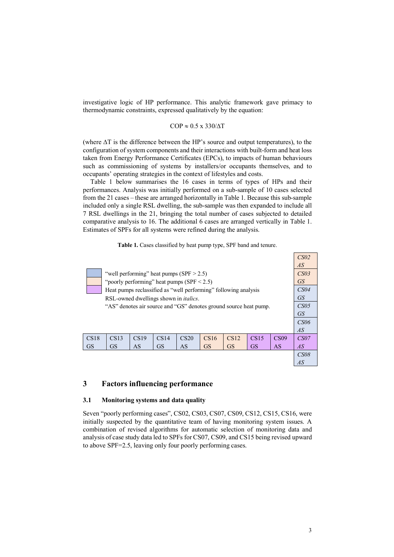investigative logic of HP performance. This analytic framework gave primacy to thermodynamic constraints, expressed qualitatively by the equation:

#### $COP \approx 0.5 \times 330/\Delta T$

(where  $\Delta T$  is the difference between the HP's source and output temperatures), to the configuration of system components and their interactions with built-form and heat loss taken from Energy Performance Certificates (EPCs), to impacts of human behaviours such as commissioning of systems by installers/or occupants themselves, and to occupants' operating strategies in the context of lifestyles and costs.

Table 1 below summarises the 16 cases in terms of types of HPs and their performances. Analysis was initially performed on a sub-sample of 10 cases selected from the 21 cases – these are arranged horizontally in Table 1. Because this sub-sample included only a single RSL dwelling, the sub-sample was then expanded to include all 7 RSL dwellings in the 21, bringing the total number of cases subjected to detailed comparative analysis to 16. The additional 6 cases are arranged vertically in Table 1. Estimates of SPFs for all systems were refined during the analysis.

**Table 1.** Cases classified by heat pump type, SPF band and tenure.

|                                                                   |                                              |      |           |                  |           |           |           |                  | CS02            |
|-------------------------------------------------------------------|----------------------------------------------|------|-----------|------------------|-----------|-----------|-----------|------------------|-----------------|
|                                                                   |                                              |      |           |                  |           |           |           |                  | AS              |
| "well performing" heat pumps $(SPF > 2.5)$                        |                                              |      |           |                  |           |           |           |                  | CS03            |
|                                                                   | "poorly performing" heat pumps $(SPF < 2.5)$ |      |           |                  |           |           |           |                  |                 |
| Heat pumps reclassified as "well performing" following analysis   |                                              |      |           |                  |           |           |           |                  | CS04            |
| RSL-owned dwellings shown in <i>italics</i> .                     |                                              |      |           |                  |           |           |           |                  | GS <sup>-</sup> |
| "AS" denotes air source and "GS" denotes ground source heat pump. |                                              |      |           |                  |           |           |           |                  | CS05            |
|                                                                   |                                              |      |           |                  |           |           |           |                  | <b>GS</b>       |
|                                                                   |                                              |      |           |                  |           |           |           |                  | CS06            |
|                                                                   |                                              |      |           |                  |           |           |           |                  | AS              |
| CS18                                                              | CS13                                         | CS19 | CS14      | CS <sub>20</sub> | CS16      | CS12      | CS15      | CS <sub>09</sub> | CS07            |
| <b>GS</b>                                                         | <b>GS</b>                                    | AS   | <b>GS</b> | AS               | <b>GS</b> | <b>GS</b> | <b>GS</b> | AS               | AS              |
|                                                                   |                                              |      |           |                  |           |           |           |                  | CS08            |
|                                                                   |                                              |      |           |                  |           |           |           |                  | AS              |

# **3 Factors influencing performance**

#### **3.1 Monitoring systems and data quality**

Seven "poorly performing cases", CS02, CS03, CS07, CS09, CS12, CS15, CS16, were initially suspected by the quantitative team of having monitoring system issues. A combination of revised algorithms for automatic selection of monitoring data and analysis of case study data led to SPFs for CS07, CS09, and CS15 being revised upward to above SPF=2.5, leaving only four poorly performing cases.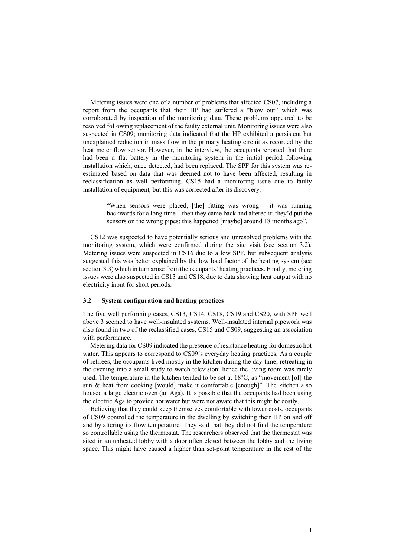Metering issues were one of a number of problems that affected CS07, including a report from the occupants that their HP had suffered a "blow out" which was corroborated by inspection of the monitoring data. These problems appeared to be resolved following replacement of the faulty external unit. Monitoring issues were also suspected in CS09; monitoring data indicated that the HP exhibited a persistent but unexplained reduction in mass flow in the primary heating circuit as recorded by the heat meter flow sensor. However, in the interview, the occupants reported that there had been a flat battery in the monitoring system in the initial period following installation which, once detected, had been replaced. The SPF for this system was reestimated based on data that was deemed not to have been affected, resulting in reclassification as well performing. CS15 had a monitoring issue due to faulty installation of equipment, but this was corrected after its discovery.

> "When sensors were placed, [the] fitting was wrong – it was running backwards for a long time – then they came back and altered it; they'd put the sensors on the wrong pipes; this happened [maybe] around 18 months ago".

CS12 was suspected to have potentially serious and unresolved problems with the monitoring system, which were confirmed during the site visit (see section 3.2). Metering issues were suspected in CS16 due to a low SPF, but subsequent analysis suggested this was better explained by the low load factor of the heating system (see section 3.3) which in turn arose from the occupants' heating practices. Finally, metering issues were also suspected in CS13 and CS18, due to data showing heat output with no electricity input for short periods.

### **3.2 System configuration and heating practices**

The five well performing cases, CS13, CS14, CS18, CS19 and CS20, with SPF well above 3 seemed to have well-insulated systems. Well-insulated internal pipework was also found in two of the reclassified cases, CS15 and CS09, suggesting an association with performance.

Metering data for CS09 indicated the presence of resistance heating for domestic hot water. This appears to correspond to CS09's everyday heating practices. As a couple of retirees, the occupants lived mostly in the kitchen during the day-time, retreating in the evening into a small study to watch television; hence the living room was rarely used. The temperature in the kitchen tended to be set at 18°C, as "movement [of] the sun  $\&$  heat from cooking [would] make it comfortable [enough]". The kitchen also housed a large electric oven (an Aga). It is possible that the occupants had been using the electric Aga to provide hot water but were not aware that this might be costly.

Believing that they could keep themselves comfortable with lower costs, occupants of CS09 controlled the temperature in the dwelling by switching their HP on and off and by altering its flow temperature. They said that they did not find the temperature so controllable using the thermostat. The researchers observed that the thermostat was sited in an unheated lobby with a door often closed between the lobby and the living space. This might have caused a higher than set-point temperature in the rest of the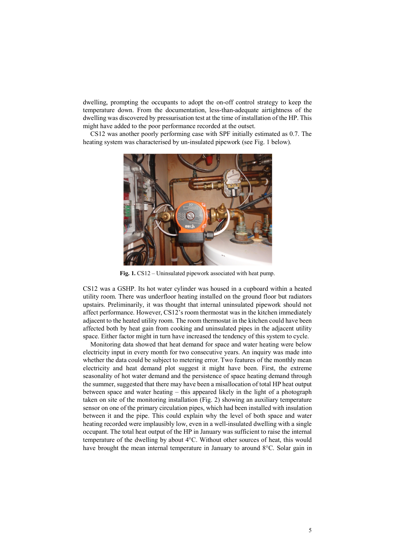dwelling, prompting the occupants to adopt the on-off control strategy to keep the temperature down. From the documentation, less-than-adequate airtightness of the dwelling was discovered by pressurisation test at the time of installation of the HP. This might have added to the poor performance recorded at the outset.

CS12 was another poorly performing case with SPF initially estimated as 0.7. The heating system was characterised by un-insulated pipework (see Fig. 1 below).



**Fig. 1.** CS12 – Uninsulated pipework associated with heat pump.

CS12 was a GSHP. Its hot water cylinder was housed in a cupboard within a heated utility room. There was underfloor heating installed on the ground floor but radiators upstairs. Preliminarily, it was thought that internal uninsulated pipework should not affect performance. However, CS12's room thermostat was in the kitchen immediately adjacent to the heated utility room. The room thermostat in the kitchen could have been affected both by heat gain from cooking and uninsulated pipes in the adjacent utility space. Either factor might in turn have increased the tendency of this system to cycle.

Monitoring data showed that heat demand for space and water heating were below electricity input in every month for two consecutive years. An inquiry was made into whether the data could be subject to metering error. Two features of the monthly mean electricity and heat demand plot suggest it might have been. First, the extreme seasonality of hot water demand and the persistence of space heating demand through the summer, suggested that there may have been a misallocation of total HP heat output between space and water heating – this appeared likely in the light of a photograph taken on site of the monitoring installation (Fig. 2) showing an auxiliary temperature sensor on one of the primary circulation pipes, which had been installed with insulation between it and the pipe. This could explain why the level of both space and water heating recorded were implausibly low, even in a well-insulated dwelling with a single occupant. The total heat output of the HP in January was sufficient to raise the internal temperature of the dwelling by about 4°C. Without other sources of heat, this would have brought the mean internal temperature in January to around 8°C. Solar gain in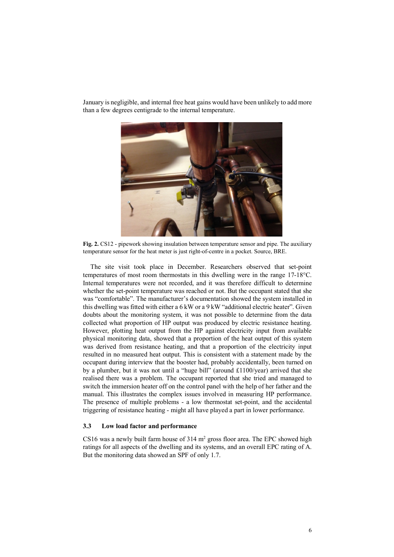

January is negligible, and internal free heat gains would have been unlikely to add more than a few degrees centigrade to the internal temperature.

**Fig. 2.** CS12 - pipework showing insulation between temperature sensor and pipe. The auxiliary temperature sensor for the heat meter is just right-of-centre in a pocket. Source, BRE.

The site visit took place in December. Researchers observed that set-point temperatures of most room thermostats in this dwelling were in the range 17-18°C. Internal temperatures were not recorded, and it was therefore difficult to determine whether the set-point temperature was reached or not. But the occupant stated that she was "comfortable". The manufacturer's documentation showed the system installed in this dwelling was fitted with either a 6 kW or a 9 kW "additional electric heater". Given doubts about the monitoring system, it was not possible to determine from the data collected what proportion of HP output was produced by electric resistance heating. However, plotting heat output from the HP against electricity input from available physical monitoring data, showed that a proportion of the heat output of this system was derived from resistance heating, and that a proportion of the electricity input resulted in no measured heat output. This is consistent with a statement made by the occupant during interview that the booster had, probably accidentally, been turned on by a plumber, but it was not until a "huge bill" (around £1100/year) arrived that she realised there was a problem. The occupant reported that she tried and managed to switch the immersion heater off on the control panel with the help of her father and the manual. This illustrates the complex issues involved in measuring HP performance. The presence of multiple problems - a low thermostat set-point, and the accidental triggering of resistance heating - might all have played a part in lower performance.

#### **3.3 Low load factor and performance**

CS16 was a newly built farm house of  $314 \text{ m}^2$  gross floor area. The EPC showed high ratings for all aspects of the dwelling and its systems, and an overall EPC rating of A. But the monitoring data showed an SPF of only 1.7.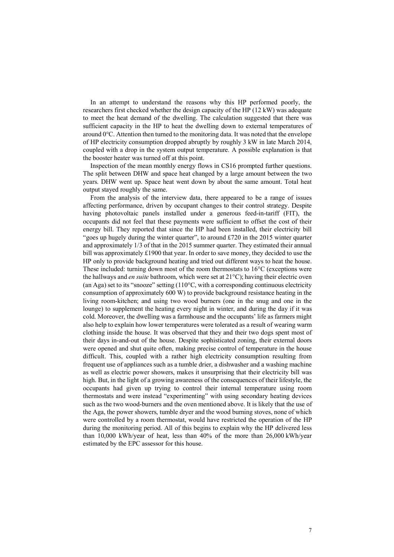In an attempt to understand the reasons why this HP performed poorly, the researchers first checked whether the design capacity of the HP (12 kW) was adequate to meet the heat demand of the dwelling. The calculation suggested that there was sufficient capacity in the HP to heat the dwelling down to external temperatures of around 0°C. Attention then turned to the monitoring data. It was noted that the envelope of HP electricity consumption dropped abruptly by roughly 3 kW in late March 2014, coupled with a drop in the system output temperature. A possible explanation is that the booster heater was turned off at this point.

Inspection of the mean monthly energy flows in CS16 prompted further questions. The split between DHW and space heat changed by a large amount between the two years. DHW went up. Space heat went down by about the same amount. Total heat output stayed roughly the same.

From the analysis of the interview data, there appeared to be a range of issues affecting performance, driven by occupant changes to their control strategy. Despite having photovoltaic panels installed under a generous feed-in-tariff (FIT), the occupants did not feel that these payments were sufficient to offset the cost of their energy bill. They reported that since the HP had been installed, their electricity bill "goes up hugely during the winter quarter", to around £720 in the 2015 winter quarter and approximately 1/3 of that in the 2015 summer quarter. They estimated their annual bill was approximately £1900 that year. In order to save money, they decided to use the HP only to provide background heating and tried out different ways to heat the house. These included: turning down most of the room thermostats to 16°C (exceptions were the hallways and *en suite* bathroom, which were set at 21°C); having their electric oven (an Aga) set to its "snooze" setting  $(110^{\circ}C, \text{ with a corresponding continuous electricity})$ consumption of approximately 600 W) to provide background resistance heating in the living room-kitchen; and using two wood burners (one in the snug and one in the lounge) to supplement the heating every night in winter, and during the day if it was cold. Moreover, the dwelling was a farmhouse and the occupants' life as farmers might also help to explain how lower temperatures were tolerated as a result of wearing warm clothing inside the house. It was observed that they and their two dogs spent most of their days in-and-out of the house. Despite sophisticated zoning, their external doors were opened and shut quite often, making precise control of temperature in the house difficult. This, coupled with a rather high electricity consumption resulting from frequent use of appliances such as a tumble drier, a dishwasher and a washing machine as well as electric power showers, makes it unsurprising that their electricity bill was high. But, in the light of a growing awareness of the consequences of their lifestyle, the occupants had given up trying to control their internal temperature using room thermostats and were instead "experimenting" with using secondary heating devices such as the two wood-burners and the oven mentioned above. It is likely that the use of the Aga, the power showers, tumble dryer and the wood burning stoves, none of which were controlled by a room thermostat, would have restricted the operation of the HP during the monitoring period. All of this begins to explain why the HP delivered less than 10,000 kWh/year of heat, less than 40% of the more than 26,000 kWh/year estimated by the EPC assessor for this house.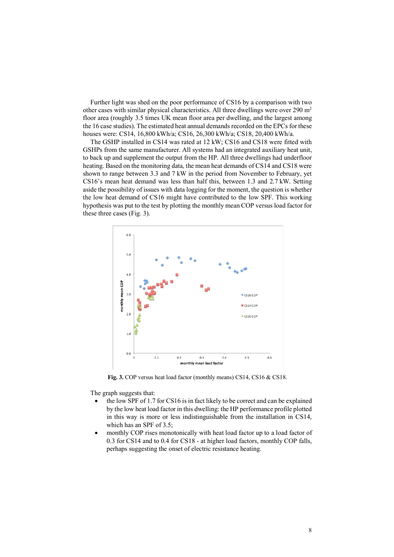Further light was shed on the poor performance of CS16 by a comparison with two other cases with similar physical characteristics. All three dwellings were over 290 m2 floor area (roughly 3.5 times UK mean floor area per dwelling, and the largest among the 16 case studies). The estimated heat annual demands recorded on the EPCs for these houses were: CS14, 16,800 kWh/a; CS16, 26,300 kWh/a; CS18, 20,400 kWh/a.

The GSHP installed in CS14 was rated at 12 kW; CS16 and CS18 were fitted with GSHPs from the same manufacturer. All systems had an integrated auxiliary heat unit, to back up and supplement the output from the HP. All three dwellings had underfloor heating. Based on the monitoring data, the mean heat demands of CS14 and CS18 were shown to range between 3.3 and 7 kW in the period from November to February, yet CS16's mean heat demand was less than half this, between 1.3 and 2.7 kW. Setting aside the possibility of issues with data logging for the moment, the question is whether the low heat demand of CS16 might have contributed to the low SPF. This working hypothesis was put to the test by plotting the monthly mean COP versus load factor for these three cases (Fig. 3).



**Fig. 3.** COP versus heat load factor (monthly means) CS14, CS16 & CS18.

The graph suggests that:

- the low SPF of 1.7 for CS16 is in fact likely to be correct and can be explained by the low heat load factor in this dwelling: the HP performance profile plotted in this way is more or less indistinguishable from the installation in CS14, which has an SPF of 3.5;
- monthly COP rises monotonically with heat load factor up to a load factor of 0.3 for CS14 and to 0.4 for CS18 - at higher load factors, monthly COP falls, perhaps suggesting the onset of electric resistance heating.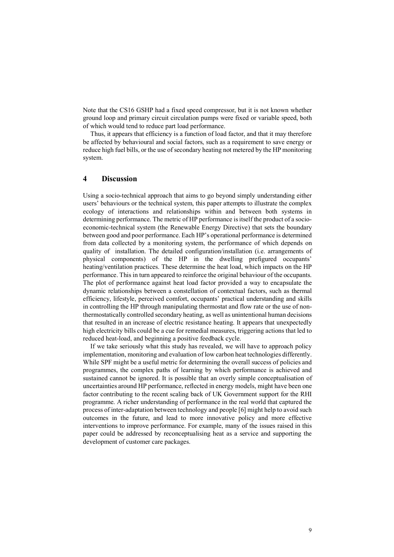Note that the CS16 GSHP had a fixed speed compressor, but it is not known whether ground loop and primary circuit circulation pumps were fixed or variable speed, both of which would tend to reduce part load performance.

Thus, it appears that efficiency is a function of load factor, and that it may therefore be affected by behavioural and social factors, such as a requirement to save energy or reduce high fuel bills, or the use of secondary heating not metered by the HP monitoring system.

# **4 Discussion**

Using a socio-technical approach that aims to go beyond simply understanding either users' behaviours or the technical system, this paper attempts to illustrate the complex ecology of interactions and relationships within and between both systems in determining performance. The metric of HP performance is itself the product of a socioeconomic-technical system (the Renewable Energy Directive) that sets the boundary between good and poor performance. Each HP's operational performance is determined from data collected by a monitoring system, the performance of which depends on quality of installation. The detailed configuration/installation (i.e. arrangements of physical components) of the HP in the dwelling prefigured occupants' heating/ventilation practices. These determine the heat load, which impacts on the HP performance. This in turn appeared to reinforce the original behaviour of the occupants. The plot of performance against heat load factor provided a way to encapsulate the dynamic relationships between a constellation of contextual factors, such as thermal efficiency, lifestyle, perceived comfort, occupants' practical understanding and skills in controlling the HP through manipulating thermostat and flow rate or the use of nonthermostatically controlled secondary heating, as well as unintentional human decisions that resulted in an increase of electric resistance heating. It appears that unexpectedly high electricity bills could be a cue for remedial measures, triggering actions that led to reduced heat-load, and beginning a positive feedback cycle.

If we take seriously what this study has revealed, we will have to approach policy implementation, monitoring and evaluation of low carbon heat technologies differently. While SPF might be a useful metric for determining the overall success of policies and programmes, the complex paths of learning by which performance is achieved and sustained cannot be ignored. It is possible that an overly simple conceptualisation of uncertainties around HP performance, reflected in energy models, might have been one factor contributing to the recent scaling back of UK Government support for the RHI programme. A richer understanding of performance in the real world that captured the process of inter-adaptation between technology and people [6] might help to avoid such outcomes in the future, and lead to more innovative policy and more effective interventions to improve performance. For example, many of the issues raised in this paper could be addressed by reconceptualising heat as a service and supporting the development of customer care packages.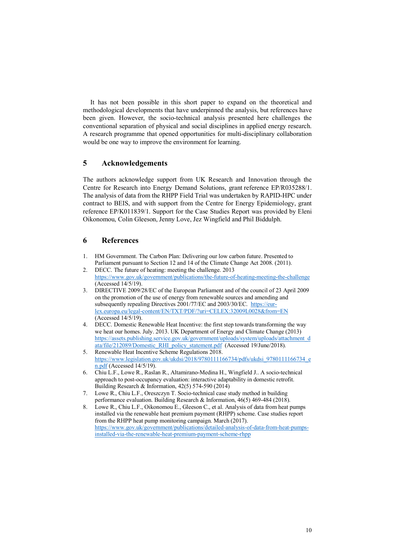It has not been possible in this short paper to expand on the theoretical and methodological developments that have underpinned the analysis, but references have been given. However, the socio-technical analysis presented here challenges the conventional separation of physical and social disciplines in applied energy research. A research programme that opened opportunities for multi-disciplinary collaboration would be one way to improve the environment for learning.

# **5 Acknowledgements**

The authors acknowledge support from UK Research and Innovation through the Centre for Research into Energy Demand Solutions, grant reference EP/R035288/1. The analysis of data from the RHPP Field Trial was undertaken by RAPID-HPC under contract to BEIS, and with support from the Centre for Energy Epidemiology, grant reference EP/K011839/1. Support for the Case Studies Report was provided by Eleni Oikonomou, Colin Gleeson, Jenny Love, Jez Wingfield and Phil Biddulph.

## **6 References**

- 1. HM Government. The Carbon Plan: Delivering our low carbon future. Presented to Parliament pursuant to Section 12 and 14 of the Climate Change Act 2008. (2011).
- 2. DECC. The future of heating: meeting the challenge. 2013 https://www.gov.uk/government/publications/the-future-of-heating-meeting-the-challenge (Accessed 14/5/19).
- 3. DIRECTIVE 2009/28/EC of the European Parliament and of the council of 23 April 2009 on the promotion of the use of energy from renewable sources and amending and subsequently repealing Directives 2001/77/EC and 2003/30/EC. https://eurlex.europa.eu/legal-content/EN/TXT/PDF/?uri=CELEX:32009L0028&from=EN (Accessed 14/5/19).
- 4. DECC. Domestic Renewable Heat Incentive: the first step towards transforming the way we heat our homes. July. 2013. UK Department of Energy and Climate Change (2013) https://assets.publishing.service.gov.uk/government/uploads/system/uploads/attachment\_d ata/file/212089/Domestic\_RHI\_policy\_statement.pdf (Accessed 19/June/2018).
- 5. Renewable Heat Incentive Scheme Regulations 2018. https://www.legislation.gov.uk/ukdsi/2018/9780111166734/pdfs/ukdsi\_9780111166734\_e n.pdf (Accessed 14/5/19).
- 6. Chiu L.F., Lowe R., Raslan R., Altamirano-Medina H., Wingfield J.. A socio-technical approach to post-occupancy evaluation: interactive adaptability in domestic retrofit. Building Research & Information, 42(5) 574-590 (2014)
- 7. Lowe R., Chiu L.F., Oreszczyn T. Socio-technical case study method in building performance evaluation. Building Research & Information, 46(5) 469-484 (2018).
- 8. Lowe R., Chiu L.F., Oikonomou E., Gleeson C., et al. Analysis of data from heat pumps installed via the renewable heat premium payment (RHPP) scheme. Case studies report from the RHPP heat pump monitoring campaign. March (2017). https://www.gov.uk/government/publications/detailed-analysis-of-data-from-heat-pumpsinstalled-via-the-renewable-heat-premium-payment-scheme-rhpp